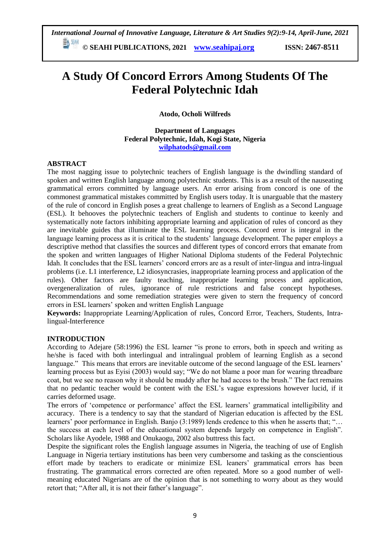*International Journal of Innovative Language, Literature & Art Studies 9(2):9-14, April-June, 2021*

**© SEAHI PUBLICATIONS, 2021 [www.seahipaj.org](http://www.seahipaj.org/) ISSN: 2467-8511**

# **A Study Of Concord Errors Among Students Of The Federal Polytechnic Idah**

**Atodo, Ocholi Wilfreds** 

**Department of Languages Federal Polytechnic, Idah, Kogi State, Nigeria [wilphatods@gmail.com](mailto:wilphatods@gmail.com)**

## **ABSTRACT**

The most nagging issue to polytechnic teachers of English language is the dwindling standard of spoken and written English language among polytechnic students. This is as a result of the nauseating grammatical errors committed by language users. An error arising from concord is one of the commonest grammatical mistakes committed by English users today. It is unarguable that the mastery of the rule of concord in English poses a great challenge to learners of English as a Second Language (ESL). It behooves the polytechnic teachers of English and students to continue to keenly and systematically note factors inhibiting appropriate learning and application of rules of concord as they are inevitable guides that illuminate the ESL learning process. Concord error is integral in the language learning process as it is critical to the students' language development. The paper employs a descriptive method that classifies the sources and different types of concord errors that emanate from the spoken and written languages of Higher National Diploma students of the Federal Polytechnic Idah. It concludes that the ESL learners" concord errors are as a result of inter-lingua and intra-lingual problems (i.e. L1 interference, L2 idiosyncrasies, inappropriate learning process and application of the rules). Other factors are faulty teaching, inappropriate learning process and application, overgeneralization of rules, ignorance of rule restrictions and false concept hypotheses. Recommendations and some remediation strategies were given to stern the frequency of concord errors in ESL learners" spoken and written English Language

**Keywords:** Inappropriate Learning/Application of rules, Concord Error, Teachers, Students, Intralingual-Interference

## **INTRODUCTION**

According to Adejare (58:1996) the ESL learner "is prone to errors, both in speech and writing as he/she is faced with both interlingual and intralingual problem of learning English as a second language." This means that errors are inevitable outcome of the second language of the ESL learners' learning process but as Eyisi (2003) would say; "We do not blame a poor man for wearing threadbare coat, but we see no reason why it should be muddy after he had access to the brush." The fact remains that no pedantic teacher would be content with the ESL"s vague expressions however lucid, if it carries deformed usage.

The errors of 'competence or performance' affect the ESL learners' grammatical intelligibility and accuracy. There is a tendency to say that the standard of Nigerian education is affected by the ESL learners' poor performance in English. Banjo (3:1989) lends credence to this when he asserts that: "... the success at each level of the educational system depends largely on competence in English". Scholars like Ayodele, 1988 and Onukaogu, 2002 also buttress this fact.

Despite the significant roles the English language assumes in Nigeria, the teaching of use of English Language in Nigeria tertiary institutions has been very cumbersome and tasking as the conscientious effort made by teachers to eradicate or minimize ESL leaners" grammatical errors has been frustrating. The grammatical errors corrected are often repeated. More so a good number of wellmeaning educated Nigerians are of the opinion that is not something to worry about as they would retort that; "After all, it is not their father's language".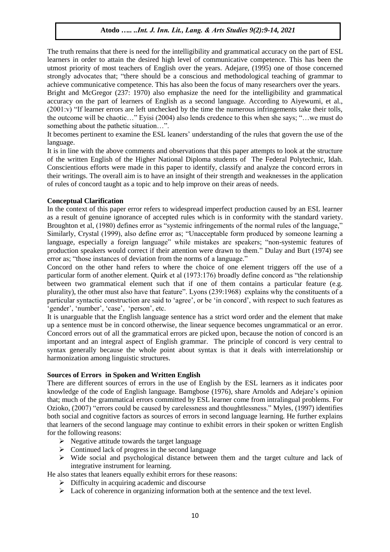The truth remains that there is need for the intelligibility and grammatical accuracy on the part of ESL learners in order to attain the desired high level of communicative competence. This has been the utmost priority of most teachers of English over the years. Adejare, (1995) one of those concerned strongly advocates that; "there should be a conscious and methodological teaching of grammar to achieve communicative competence. This has also been the focus of many researchers over the years.

Bright and McGregor (237: 1970) also emphasize the need for the intelligibility and grammatical accuracy on the part of learners of English as a second language. According to Aiyewumi, et al., (2001:v) "If learner errors are left unchecked by the time the numerous infringements take their tolls, the outcome will be chaotic…" Eyisi (2004) also lends credence to this when she says; "…we must do something about the pathetic situation…".

It becomes pertinent to examine the ESL leaners" understanding of the rules that govern the use of the language.

It is in line with the above comments and observations that this paper attempts to look at the structure of the written English of the Higher National Diploma students of The Federal Polytechnic, Idah. Conscientious efforts were made in this paper to identify, classify and analyze the concord errors in their writings. The overall aim is to have an insight of their strength and weaknesses in the application of rules of concord taught as a topic and to help improve on their areas of needs.

## **Conceptual Clarification**

In the context of this paper error refers to widespread imperfect production caused by an ESL learner as a result of genuine ignorance of accepted rules which is in conformity with the standard variety. Broughton et al, (1980) defines error as "systemic infringements of the normal rules of the language," Similarly, Crystal (1999), also define error as; "Unacceptable form produced by someone learning a language, especially a foreign language" while mistakes are speakers; "non-systemic features of production speakers would correct if their attention were drawn to them." Dulay and Burt (1974) see error as; "those instances of deviation from the norms of a language."

Concord on the other hand refers to where the choice of one element triggers off the use of a particular form of another element. Quirk et al (1973:176) broadly define concord as "the relationship between two grammatical element such that if one of them contains a particular feature (e.g. plurality), the other must also have that feature". Lyons (239:1968) explains why the constituents of a particular syntactic construction are said to "agree", or be "in concord", with respect to such features as "gender", "number", "case", "person", etc.

It is unarguable that the English language sentence has a strict word order and the element that make up a sentence must be in concord otherwise, the linear sequence becomes ungrammatical or an error. Concord errors out of all the grammatical errors are picked upon, because the notion of concord is an important and an integral aspect of English grammar. The principle of concord is very central to syntax generally because the whole point about syntax is that it deals with interrelationship or harmonization among linguistic structures.

## **Sources of Errors in Spoken and Written English**

There are different sources of errors in the use of English by the ESL learners as it indicates poor knowledge of the code of English language. Bamgbose (1976), share Arnolds and Adejare"s opinion that; much of the grammatical errors committed by ESL learner come from intralingual problems. For Ozioko, (2007) "errors could be caused by carelessness and thoughtlessness." Myles, (1997) identifies both social and cognitive factors as sources of errors in second language learning. He further explains that learners of the second language may continue to exhibit errors in their spoken or written English for the following reasons:

- $\triangleright$  Negative attitude towards the target language
- $\triangleright$  Continued lack of progress in the second language
- $\triangleright$  Wide social and psychological distance between them and the target culture and lack of integrative instrument for learning.

He also states that leaners equally exhibit errors for these reasons:

- $\triangleright$  Difficulty in acquiring academic and discourse
- $\triangleright$  Lack of coherence in organizing information both at the sentence and the text level.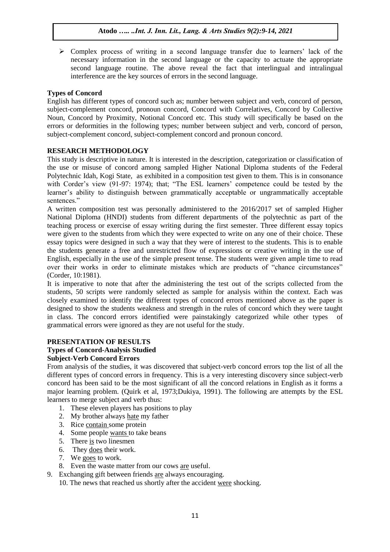$\triangleright$  Complex process of writing in a second language transfer due to learners' lack of the necessary information in the second language or the capacity to actuate the appropriate second language routine. The above reveal the fact that interlingual and intralingual interference are the key sources of errors in the second language.

# **Types of Concord**

English has different types of concord such as; number between subject and verb, concord of person, subject-complement concord, pronoun concord, Concord with Correlatives, Concord by Collective Noun, Concord by Proximity, Notional Concord etc. This study will specifically be based on the errors or deformities in the following types; number between subject and verb, concord of person, subject-complement concord, subject-complement concord and pronoun concord.

# **RESEARCH METHODOLOGY**

This study is descriptive in nature. It is interested in the description, categorization or classification of the use or misuse of concord among sampled Higher National Diploma students of the Federal Polytechnic Idah, Kogi State, as exhibited in a composition test given to them. This is in consonance with Corder's view (91-97: 1974); that; "The ESL learners' competence could be tested by the learner"s ability to distinguish between grammatically acceptable or ungrammatically acceptable sentences."

A written composition test was personally administered to the 2016/2017 set of sampled Higher National Diploma (HNDI) students from different departments of the polytechnic as part of the teaching process or exercise of essay writing during the first semester. Three different essay topics were given to the students from which they were expected to write on any one of their choice. These essay topics were designed in such a way that they were of interest to the students. This is to enable the students generate a free and unrestricted flow of expressions or creative writing in the use of English, especially in the use of the simple present tense. The students were given ample time to read over their works in order to eliminate mistakes which are products of "chance circumstances" (Corder, 10:1981).

It is imperative to note that after the administering the test out of the scripts collected from the students, 50 scripts were randomly selected as sample for analysis within the context. Each was closely examined to identify the different types of concord errors mentioned above as the paper is designed to show the students weakness and strength in the rules of concord which they were taught in class. The concord errors identified were painstakingly categorized while other types of grammatical errors were ignored as they are not useful for the study.

## **PRESENTATION OF RESULTS**

#### **Types of Concord-Analysis Studied Subject-Verb Concord Errors**

From analysis of the studies, it was discovered that subject-verb concord errors top the list of all the different types of concord errors in frequency. This is a very interesting discovery since subject-verb concord has been said to be the most significant of all the concord relations in English as it forms a major learning problem. (Quirk et al, 1973;Dukiya, 1991). The following are attempts by the ESL learners to merge subject and verb thus:

- 1. These eleven players has positions to play
- 2. My brother always hate my father
- 3. Rice contain some protein
- 4. Some people wants to take beans
- 5. There  $\overline{is}$  two linesmen
- 6. They does their work.
- 7. We goes to work.
- 8. Even the waste matter from our cows are useful.

9. Exchanging gift between friends are always encouraging.

10. The news that reached us shortly after the accident were shocking.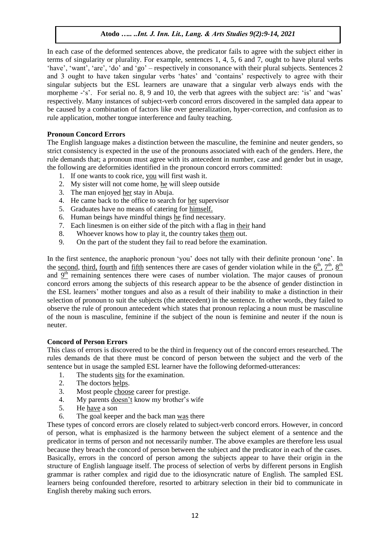In each case of the deformed sentences above, the predicator fails to agree with the subject either in terms of singularity or plurality. For example, sentences 1, 4, 5, 6 and 7, ought to have plural verbs "have", "want", "are", "do" and "go" – respectively in consonance with their plural subjects. Sentences 2 and 3 ought to have taken singular verbs "hates" and "contains" respectively to agree with their singular subjects but the ESL learners are unaware that a singular verb always ends with the morpheme -'s'. For serial no. 8, 9 and 10, the verb that agrees with the subject are: 'is' and 'was' respectively. Many instances of subject-verb concord errors discovered in the sampled data appear to be caused by a combination of factors like over generalization, hyper-correction, and confusion as to rule application, mother tongue interference and faulty teaching.

## **Pronoun Concord Errors**

The English language makes a distinction between the masculine, the feminine and neuter genders, so strict consistency is expected in the use of the pronouns associated with each of the genders. Here, the rule demands that; a pronoun must agree with its antecedent in number, case and gender but in usage, the following are deformities identified in the pronoun concord errors committed:

- 1. If one wants to cook rice, you will first wash it.
- 2. My sister will not come home, he will sleep outside
- 3. The man enjoyed her stay in Abuja.
- 4. He came back to the office to search for her supervisor
- 5. Graduates have no means of catering for himself.
- 6. Human beings have mindful things he find necessary.
- 7. Each linesmen is on either side of the pitch with a flag in their hand
- 8. Whoever knows how to play it, the country takes them out.
- 9. On the part of the student they fail to read before the examination.

In the first sentence, the anaphoric pronoun "you" does not tally with their definite pronoun "one". In the second, third, fourth and fifth sentences there are cases of gender violation while in the  $6<sup>th</sup>$ ,  $7<sup>th</sup>$ ,  $8<sup>th</sup>$ and  $9<sup>th</sup>$  remaining sentences there were cases of number violation. The major causes of pronoun concord errors among the subjects of this research appear to be the absence of gender distinction in the ESL learners" mother tongues and also as a result of their inability to make a distinction in their selection of pronoun to suit the subjects (the antecedent) in the sentence. In other words, they failed to observe the rule of pronoun antecedent which states that pronoun replacing a noun must be masculine of the noun is masculine, feminine if the subject of the noun is feminine and neuter if the noun is neuter.

## **Concord of Person Errors**

This class of errors is discovered to be the third in frequency out of the concord errors researched. The rules demands de that there must be concord of person between the subject and the verb of the sentence but in usage the sampled ESL learner have the following deformed-utterances:

- 1. The students sits for the examination.
- 2. The doctors helps.
- 3. Most people choose career for prestige.
- 4. My parents doesn"t know my brother"s wife
- 5. He have a son
- 6. The goal keeper and the back man was there

These types of concord errors are closely related to subject-verb concord errors. However, in concord of person, what is emphasized is the harmony between the subject element of a sentence and the predicator in terms of person and not necessarily number. The above examples are therefore less usual because they breach the concord of person between the subject and the predicator in each of the cases. Basically, errors in the concord of person among the subjects appear to have their origin in the structure of English language itself. The process of selection of verbs by different persons in English grammar is rather complex and rigid due to the idiosyncratic nature of English. The sampled ESL learners being confounded therefore, resorted to arbitrary selection in their bid to communicate in English thereby making such errors.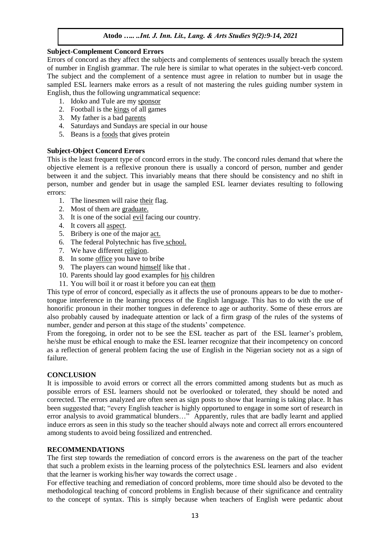#### **Subject-Complement Concord Errors**

Errors of concord as they affect the subjects and complements of sentences usually breach the system of number in English grammar. The rule here is similar to what operates in the subject-verb concord. The subject and the complement of a sentence must agree in relation to number but in usage the sampled ESL learners make errors as a result of not mastering the rules guiding number system in English, thus the following ungrammatical sequence:

- 1. Idoko and Tule are my sponsor
- 2. Football is the kings of all games
- 3. My father is a bad parents
- 4. Saturdays and Sundays are special in our house
- 5. Beans is a foods that gives protein

## **Subject-Object Concord Errors**

This is the least frequent type of concord errors in the study. The concord rules demand that where the objective element is a reflexive pronoun there is usually a concord of person, number and gender between it and the subject. This invariably means that there should be consistency and no shift in person, number and gender but in usage the sampled ESL learner deviates resulting to following errors:

- 1. The linesmen will raise their flag.
- 2. Most of them are graduate.
- 3. It is one of the social evil facing our country.
- 4. It covers all aspect.
- 5. Bribery is one of the major act.
- 6. The federal Polytechnic has five school.
- 7. We have different religion.
- 8. In some office you have to bribe
- 9. The players can wound himself like that .
- 10. Parents should lay good examples for his children
- 11. You will boil it or roast it before you can eat them

This type of error of concord, especially as it affects the use of pronouns appears to be due to mothertongue interference in the learning process of the English language. This has to do with the use of honorific pronoun in their mother tongues in deference to age or authority. Some of these errors are also probably caused by inadequate attention or lack of a firm grasp of the rules of the systems of number, gender and person at this stage of the students' competence.

From the foregoing, in order not to be see the ESL teacher as part of the ESL learner's problem, he/she must be ethical enough to make the ESL learner recognize that their incompetency on concord as a reflection of general problem facing the use of English in the Nigerian society not as a sign of failure.

## **CONCLUSION**

It is impossible to avoid errors or correct all the errors committed among students but as much as possible errors of ESL learners should not be overlooked or tolerated, they should be noted and corrected. The errors analyzed are often seen as sign posts to show that learning is taking place. It has been suggested that; "every English teacher is highly opportuned to engage in some sort of research in error analysis to avoid grammatical blunders…" Apparently, rules that are badly learnt and applied induce errors as seen in this study so the teacher should always note and correct all errors encountered among students to avoid being fossilized and entrenched.

## **RECOMMENDATIONS**

The first step towards the remediation of concord errors is the awareness on the part of the teacher that such a problem exists in the learning process of the polytechnics ESL learners and also evident that the learner is working his/her way towards the correct usage .

For effective teaching and remediation of concord problems, more time should also be devoted to the methodological teaching of concord problems in English because of their significance and centrality to the concept of syntax. This is simply because when teachers of English were pedantic about